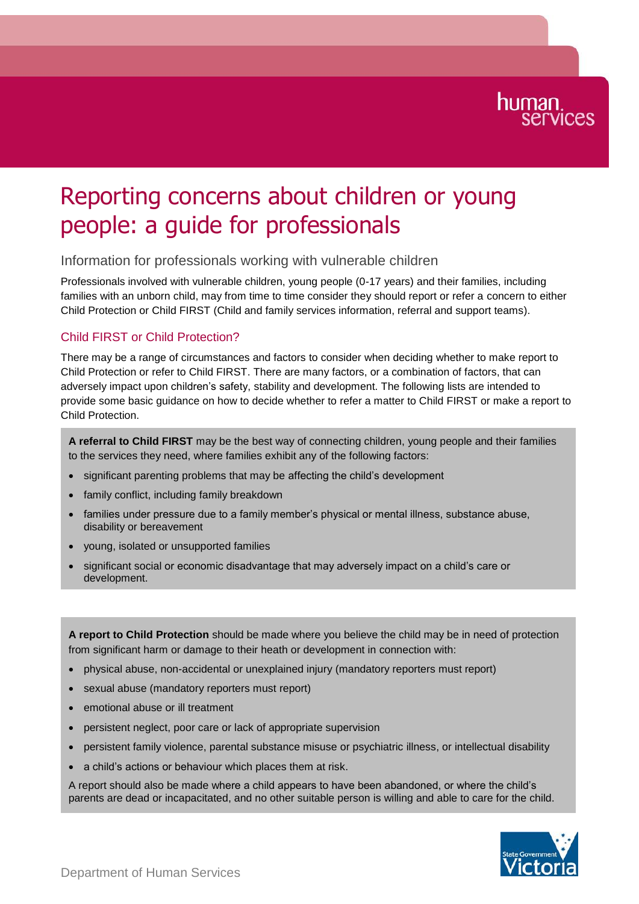# human.<br>services

## Reporting concerns about children or young people: a guide for professionals

### Information for professionals working with vulnerable children

Professionals involved with vulnerable children, young people (0-17 years) and their families, including families with an unborn child, may from time to time consider they should report or refer a concern to either Child Protection or Child FIRST (Child and family services information, referral and support teams).

### Child FIRST or Child Protection?

There may be a range of circumstances and factors to consider when deciding whether to make report to Child Protection or refer to Child FIRST. There are many factors, or a combination of factors, that can adversely impact upon children's safety, stability and development. The following lists are intended to provide some basic guidance on how to decide whether to refer a matter to Child FIRST or make a report to Child Protection.

**A referral to Child FIRST** may be the best way of connecting children, young people and their families to the services they need, where families exhibit any of the following factors:

- significant parenting problems that may be affecting the child's development
- family conflict, including family breakdown
- families under pressure due to a family member's physical or mental illness, substance abuse, disability or bereavement
- young, isolated or unsupported families
- significant social or economic disadvantage that may adversely impact on a child's care or development.

**A report to Child Protection** should be made where you believe the child may be in need of protection from significant harm or damage to their heath or development in connection with:

- physical abuse, non-accidental or unexplained injury (mandatory reporters must report)
- sexual abuse (mandatory reporters must report)
- emotional abuse or ill treatment
- persistent neglect, poor care or lack of appropriate supervision
- persistent family violence, parental substance misuse or psychiatric illness, or intellectual disability
- a child's actions or behaviour which places them at risk.

A report should also be made where a child appears to have been abandoned, or where the child's parents are dead or incapacitated, and no other suitable person is willing and able to care for the child.